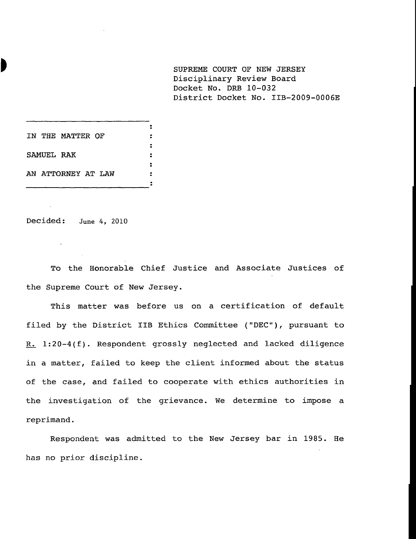**SUPREME COURT OF NEW JERSEY** Disciplinary Review Board Docket No. DRB 10-032 District Docket No. IIB-2009-0006E

**IN THE MATTER OF SAMUEL RAK AN ATTORNEY AT LAW**

Decided: June 4, 2010

 $\sim$ 

To the Honorable Chief Justice and Associate Justices of the Supreme Court of New Jersey.

 $\bullet$  $\ddot{\phantom{a}}$  $\ddot{\mathbf{z}}$  $\ddot{\cdot}$  $\ddot{\cdot}$  $\ddot{\phantom{a}}$  $\ddot{\cdot}$ 

This matter was before us on a certification of default filed by the District IIB Ethics Committee ("DEC"), pursuant to R. 1:20-4(f). Respondent grossly neglected and lacked diligence in a matter, failed to keep the client informed about the status of the case, and failed to cooperate with ethics authorities in the investigation of the grievance. We determine to impose a reprimand.

Respondent was admitted to the New Jersey bar in 1985. He has no prior discipline.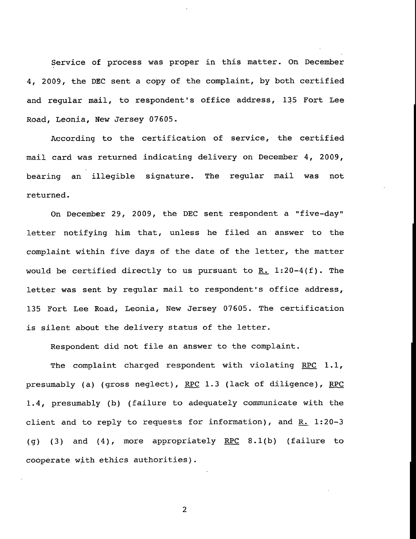Service of process was proper in this matter. On December 4, 2009, the DEC sent a copy of the complaint, by both certified and regular mail, to respondent's office address, 135 Fort Lee Road, Leonia, New Jersey 07605.

According to the certification of service, the certified mail card was returned indicating delivery on December 4, 2009, bearing an illegible signature. The regular mail was not returned.

On December 29, 2009, the DEC sent respondent a "five-day" letter notifying him that, unless he filed an answer to the complaint within five days of the date of the letter, the matter would be certified directly to us pursuant to R. 1:20-4(f). The letter was sent by regular mail to respondent's office address, 135 Fort Lee Road, Leonia, New Jersey 07605. The certification is silent about the delivery status of the letter.

Respondent did not file an answer to the complaint.

The complaint charged respondent with violating RPC  $1.1$ , presumably (a) (gross neglect), RPC 1.3 (lack of diligence), RPC 1.4, presumably (b) (failure to adequately communicate with the client and to reply to requests for information), and  $R_+$  1:20-3 (q) (3) and (4), more appropriately RPC 8.1(b) (failure to cooperate with ethics authorities).

 $\overline{2}$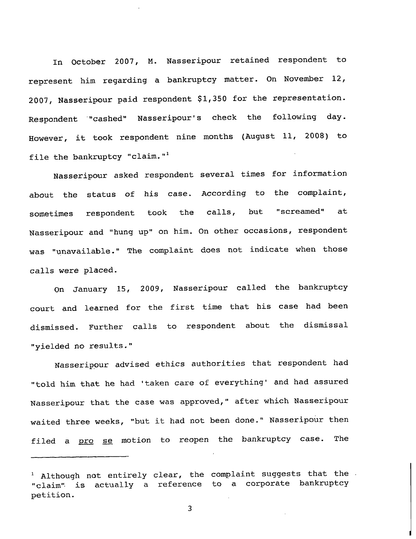In October 2007, M. Nasseripour retained respondent to represent him regarding a bankruptcy matter. On November 12, 2007, Nasseripour paid respondent \$1,350 for the representation. Respondent "cashed" Nasseripour's check the following day. However, it took respondent nine months (August ii, 2008) to file the bankruptcy "claim."<sup>1</sup>

Nasseripour asked respondent several times for information about the status of his case. According to the complaint, sometimes respondent took the calls, but "screamed" at Nasseripour and "hung up" on him. On other occasions, respondent was "unavailable." The complaint does not indicate when those calls were placed.

On January 15, 2009, Nasseripour called the bankruptcy court and learned for the first time that his case had been dismissed. Further calls to respondent about the dismissal "yielded no results."

Nasseripour advised ethics authorities that respondent had "told him that he had 'taken care of everything' and had assured Nasseripour that the case was approved," after which Nasseripour waited three weeks, "but it had not been done." Nasseripour then filed a pro se motion to reopen the bankruptcy case. The

3

 $1$  Although not entirely clear, the complaint suggests that the "claim'~ is actually a reference to a corporate bankruptcy petition.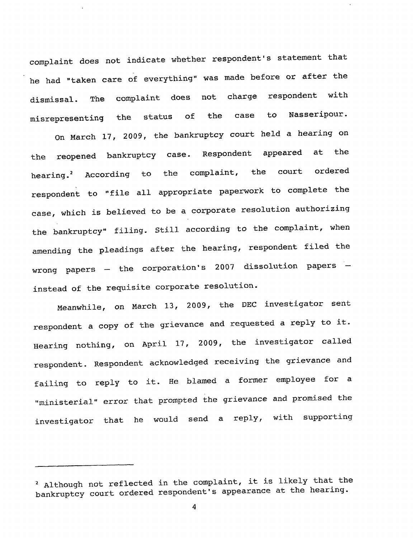complaint does not indicate whether respondent's statement that he had "taken care of everything" was made before or after the dismissal. The misrepresenting complaint does not charge respondent with the status of the case to Nasseripour.

On March 17, 2009, the bankruptcy court held a hearing on the reopened bankruptcy case. Respondent appeared at the hearing.<sup>2</sup> According to the complaint, the court ordered respondent to "file all appropriate paperwork to complete the case, which is believed to be a corporate resolution authorizing the bankruptcy" filing. Still according to the complaint, when amending the pleadings after the hearing, respondent filed the wrong papers  $-$  the corporation's 2007 dissolution papers  $$ instead of the requisite corporate resolution.

Meanwhile, on March 13, 2009, the DEC investigator sent respondent a copy of the grievance and requested a reply to it. Hearing nothing, on April 17, 2009, the investigator called respondent. Respondent acknowledged receiving the grievance and failing to reply to it. He blamed a former employee for a "ministerial" error that prompted the grievance and promised the investigator that he would send a reply, with supporting

<sup>2</sup> Although not reflected in the complaint, it is likely that the bankruptcy court ordered respondent's appearance at the hearing.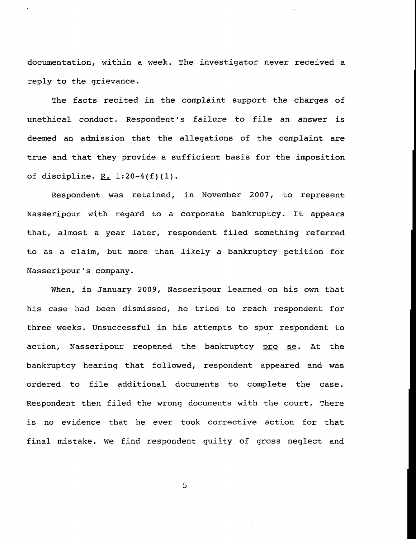documentation, within a week. The investigator never received a reply to the grievance.

The facts recited in the complaint support the charges of unethical conduct. Respondent's failure to file an answer is deemed an admission that the allegations of the complaint are true and that they provide a sufficient basis for the imposition of discipline.  $R. 1:20-4(f)(1)$ .

Respondent was retained, in November 2007, to represent Nasseripour with regard to a corporate bankruptcy. It appears that, almost a year later, respondent filed something referred to as a claim, but more than likely a bankruptcy petition for Nasseripour°s company.

When, in January 2009, Nasseripour learned on his own that his case had been dismissed, he tried to reach respondent for three weeks. Unsuccessful in his attempts to spur respondent to action, Nasseripour reopened the bankruptcy pro se. At the bankruptcy hearing that followed, respondent appeared and was ordered to file additional documents to complete the case. Respondent then filed the wrong documents with the court. There is no evidence that he ever took corrective action for that final mistake. We find respondent guilty of gross neglect and

5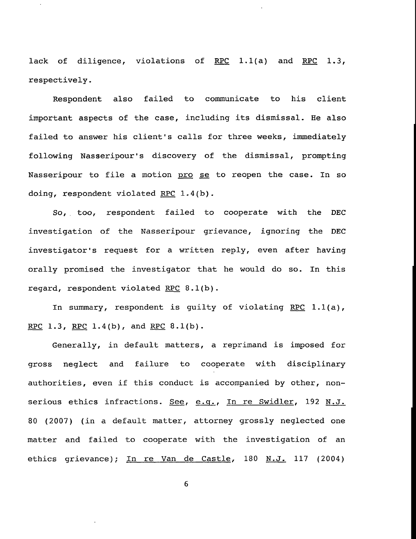lack of diligence, violations of RPC 1.1(a) and RPC 1.3, respectively.

Respondent also failed to communicate to his client important aspects of the case, including its dismissal. He also failed to answer his client's calls for three weeks, immediately following Nasseripour's discovery of the dismissal, prompting Nasseripour to file a motion pro se to reopen the case. In so doing, respondent violated RPC 1.4(b).

So,. too, respondent failed to cooperate with the DEC investigation of the Nasseripour grievance, ignoring the DEC investigator's request for a written reply, even after having orally promised the investigator that he would do so. In this regard, respondent violated RPC 8.1(b).

In summary, respondent is guilty of violating RPC 1.1(a), RPC 1.3, RPC 1.4(b), and RPC 8.1(b).

Generally, in default matters, a reprimand is imposed for gross neglect and failure to cooperate with disciplinary authorities, even if this conduct is accompanied by other, nonserious ethics infractions. See, e.g., In re Swidler, 192 N.J. 80 (2007) (in a default matter, attorney grossly neglected one matter and failed to cooperate with the investigation of an ethics grievance); In re Van de Castle, 180 N.J. 117 (2004)

6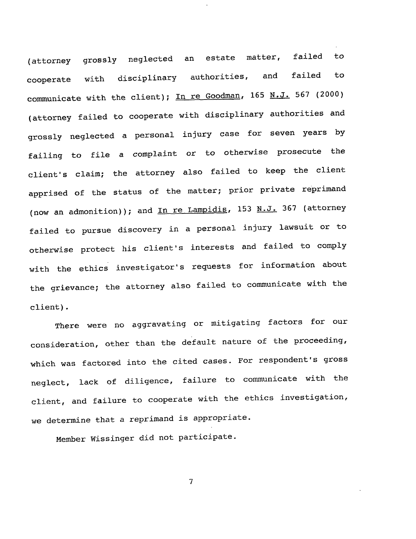(attorney grossly neglected an estate matter, failed to cooperate with disciplinary authorities, and failed to communicate with the client); In re Goodman, 165 N.J. 567 (2000) (attorney failed to cooperate with disciplinary authorities and grossly neglected a personal injury case for seven years by failing to file a complaint or to otherwise prosecute the client's claim; the attorney also failed to keep the client apprised of the status of the matter; prior private reprimand (now an admonition)); and In re Lampidis, 153 N.J. 367 (attorney failed to pursue discovery in a personal injury lawsuit or to otherwise protect his client's interests and failed to comply with the ethics investigator's requests for information about the grievance; the attorney also failed to communicate with the client).

There were no aggravating or mitigating factors for our consideration, other than the default nature of the proceeding, which was factored into the cited cases. For respondent's gross neglect, lack of diligence, failure to communicate with the client, and failure to cooperate with the ethics investigation, we determine that a reprimand is appropriate.

Member Wissinger did not participate.

 $\overline{7}$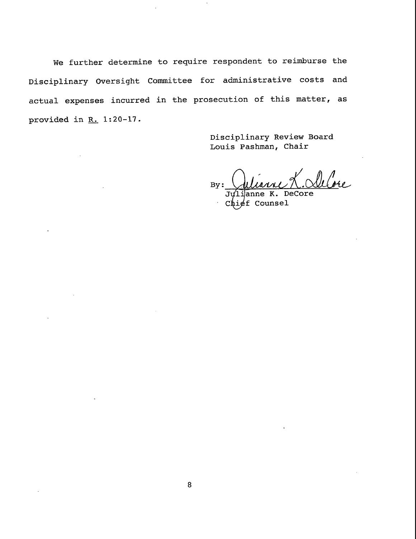We further determine to require respondent to reimburse the Disciplinary Oversight Committee for administrative costs and actual expenses incurred in the prosecution of this matter, as provided in  $R$ . 1:20-17.

> Disciplinary Review Board Louis Pashman, Chair

dubre Julianne L. Od  $By:$